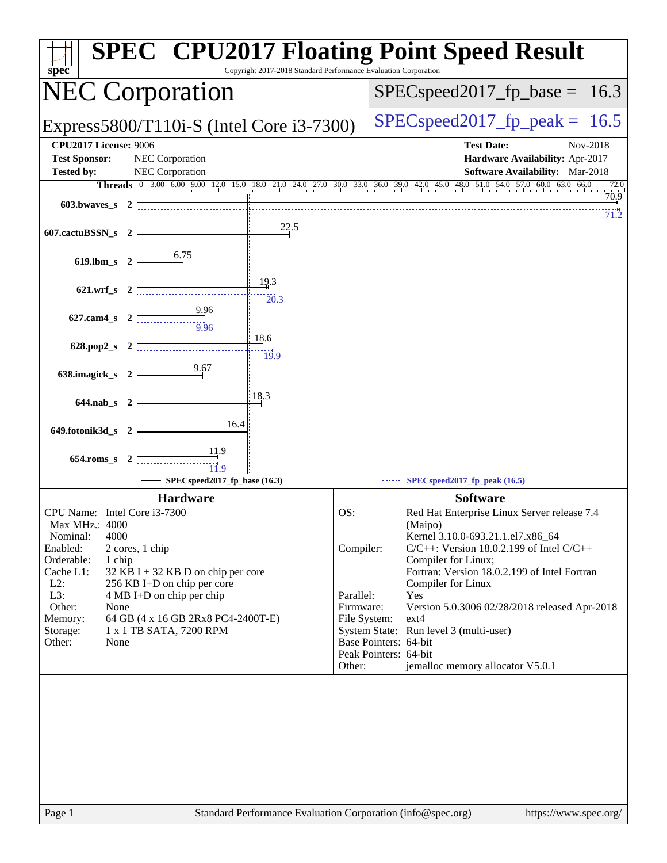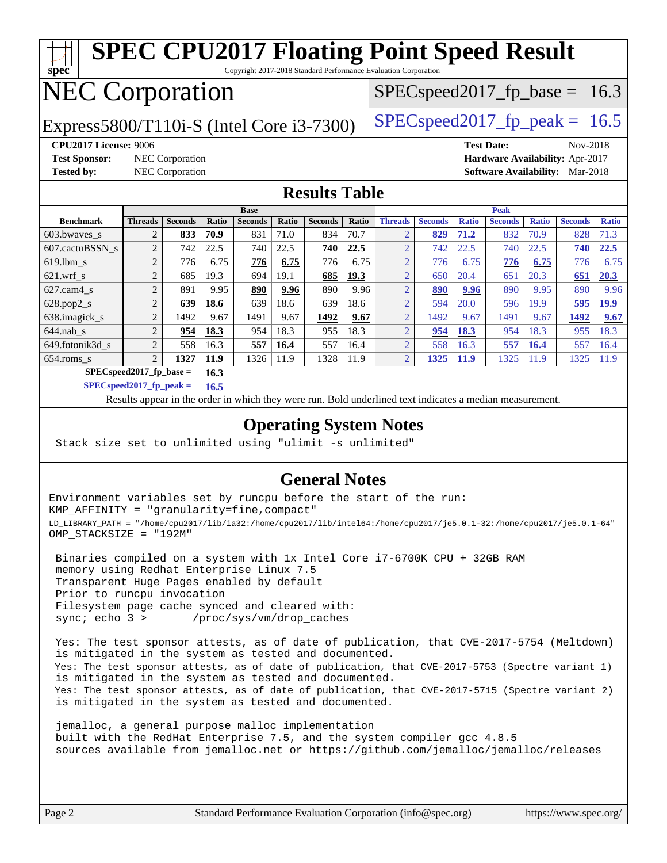### **[spec](http://www.spec.org/) [SPEC CPU2017 Floating Point Speed Result](http://www.spec.org/auto/cpu2017/Docs/result-fields.html#SPECCPU2017FloatingPointSpeedResult)** Copyright 2017-2018 Standard Performance Evaluation Corporation

## NEC Corporation

Express5800/T110i-S (Intel Core i3-7300)  $\left|$  [SPECspeed2017\\_fp\\_peak =](http://www.spec.org/auto/cpu2017/Docs/result-fields.html#SPECspeed2017fppeak) 16.5

 $SPECspeed2017_fp\_base = 16.3$ 

**[CPU2017 License:](http://www.spec.org/auto/cpu2017/Docs/result-fields.html#CPU2017License)** 9006 **[Test Date:](http://www.spec.org/auto/cpu2017/Docs/result-fields.html#TestDate)** Nov-2018 **[Test Sponsor:](http://www.spec.org/auto/cpu2017/Docs/result-fields.html#TestSponsor)** NEC Corporation **[Hardware Availability:](http://www.spec.org/auto/cpu2017/Docs/result-fields.html#HardwareAvailability)** Apr-2017

**[Tested by:](http://www.spec.org/auto/cpu2017/Docs/result-fields.html#Testedby)** NEC Corporation **[Software Availability:](http://www.spec.org/auto/cpu2017/Docs/result-fields.html#SoftwareAvailability)** Mar-2018

### **[Results Table](http://www.spec.org/auto/cpu2017/Docs/result-fields.html#ResultsTable)**

|                                   | <b>Base</b>    |                |       |                |       | <b>Peak</b>    |       |                |                |              |                |              |                |              |
|-----------------------------------|----------------|----------------|-------|----------------|-------|----------------|-------|----------------|----------------|--------------|----------------|--------------|----------------|--------------|
| <b>Benchmark</b>                  | <b>Threads</b> | <b>Seconds</b> | Ratio | <b>Seconds</b> | Ratio | <b>Seconds</b> | Ratio | <b>Threads</b> | <b>Seconds</b> | <b>Ratio</b> | <b>Seconds</b> | <b>Ratio</b> | <b>Seconds</b> | <b>Ratio</b> |
| 603.bwayes_s                      | $\overline{2}$ | 833            | 70.9  | 831            | 71.0  | 834            | 70.7  | $\bigcap$      | 829            | 71.2         | 832            | 70.9         | 828            | 71.3         |
| 607.cactuBSSN s                   | $\overline{2}$ | 742            | 22.5  | 740            | 22.5  | 740            | 22.5  | $\bigcap$      | 742            | 22.5         | 740            | 22.5         | 740            | 22.5         |
| $619.1$ bm s                      | $\overline{2}$ | 776            | 6.75  | 776            | 6.75  | 776            | 6.75  | $\bigcap$      | 776            | 6.75         | 776            | 6.75         | 776            | 6.75         |
| $621$ .wrf s                      | $\overline{2}$ | 685            | 19.3  | 694            | 19.1  | 685            | 19.3  | $\bigcap$      | 650            | 20.4         | 651            | 20.3         | 651            | 20.3         |
| $627$ .cam4 s                     | $\overline{2}$ | 891            | 9.95  | 890            | 9.96  | 890            | 9.96  | $\bigcap$      | 890            | 9.96         | 890            | 9.95         | 890            | 9.96         |
| $628.pop2_s$                      | $\overline{2}$ | 639            | 18.6  | 639            | 18.6  | 639            | 18.6  | $\overline{2}$ | 594            | 20.0         | 596            | 19.9         | 595            | <b>19.9</b>  |
| 638.imagick_s                     | $\overline{2}$ | 1492           | 9.67  | 1491           | 9.67  | 1492           | 9.67  | $\overline{2}$ | 1492           | 9.67         | 1491           | 9.67         | 1492           | 9.67         |
| $644$ .nab s                      | $\overline{2}$ | 954            | 18.3  | 954            | 18.3  | 955            | 18.3  | $\overline{2}$ | 954            | 18.3         | 954            | 18.3         | 955            | 18.3         |
| 649.fotonik3d s                   | $\overline{2}$ | 558            | 16.3  | 557            | 16.4  | 557            | 16.4  | $\overline{2}$ | 558            | 16.3         | 557            | 16.4         | 557            | 16.4         |
| $654$ .roms_s                     | $\overline{2}$ | 1327           | 11.9  | 1326           | 11.9  | 1328           | 11.9  | $\overline{2}$ | 1325           | <b>11.9</b>  | 1325           | 11.9         | 1325           | 11.9         |
| $SPECspeed2017$ fp base =<br>16.3 |                |                |       |                |       |                |       |                |                |              |                |              |                |              |

**[SPECspeed2017\\_fp\\_peak =](http://www.spec.org/auto/cpu2017/Docs/result-fields.html#SPECspeed2017fppeak) 16.5**

Results appear in the [order in which they were run.](http://www.spec.org/auto/cpu2017/Docs/result-fields.html#RunOrder) Bold underlined text [indicates a median measurement](http://www.spec.org/auto/cpu2017/Docs/result-fields.html#Median).

### **[Operating System Notes](http://www.spec.org/auto/cpu2017/Docs/result-fields.html#OperatingSystemNotes)**

Stack size set to unlimited using "ulimit -s unlimited"

### **[General Notes](http://www.spec.org/auto/cpu2017/Docs/result-fields.html#GeneralNotes)**

Environment variables set by runcpu before the start of the run: KMP\_AFFINITY = "granularity=fine,compact" LD\_LIBRARY\_PATH = "/home/cpu2017/lib/ia32:/home/cpu2017/lib/intel64:/home/cpu2017/je5.0.1-32:/home/cpu2017/je5.0.1-64" OMP\_STACKSIZE = "192M"

 Binaries compiled on a system with 1x Intel Core i7-6700K CPU + 32GB RAM memory using Redhat Enterprise Linux 7.5 Transparent Huge Pages enabled by default Prior to runcpu invocation Filesystem page cache synced and cleared with: sync; echo 3 > /proc/sys/vm/drop\_caches

 Yes: The test sponsor attests, as of date of publication, that CVE-2017-5754 (Meltdown) is mitigated in the system as tested and documented. Yes: The test sponsor attests, as of date of publication, that CVE-2017-5753 (Spectre variant 1) is mitigated in the system as tested and documented. Yes: The test sponsor attests, as of date of publication, that CVE-2017-5715 (Spectre variant 2) is mitigated in the system as tested and documented.

 jemalloc, a general purpose malloc implementation built with the RedHat Enterprise 7.5, and the system compiler gcc 4.8.5 sources available from jemalloc.net or <https://github.com/jemalloc/jemalloc/releases>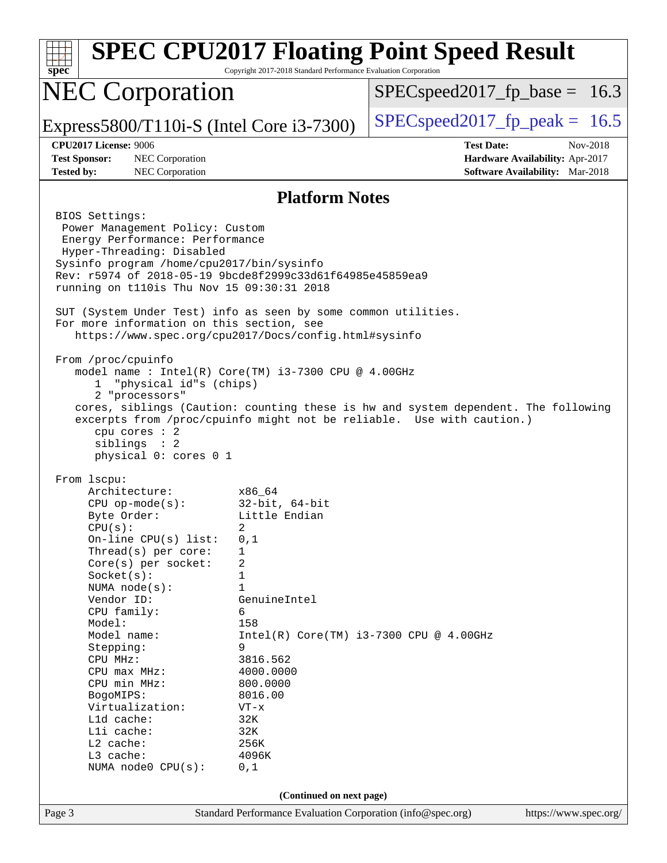| spec                                                                                                                                                                                                                                                                                                                                                                                                                   | Copyright 2017-2018 Standard Performance Evaluation Corporation                                                                                                                                                               | <b>SPEC CPU2017 Floating Point Speed Result</b>                                                                                                             |  |  |  |  |
|------------------------------------------------------------------------------------------------------------------------------------------------------------------------------------------------------------------------------------------------------------------------------------------------------------------------------------------------------------------------------------------------------------------------|-------------------------------------------------------------------------------------------------------------------------------------------------------------------------------------------------------------------------------|-------------------------------------------------------------------------------------------------------------------------------------------------------------|--|--|--|--|
| <b>NEC Corporation</b>                                                                                                                                                                                                                                                                                                                                                                                                 |                                                                                                                                                                                                                               | $SPEC speed2017_f p\_base = 16.3$                                                                                                                           |  |  |  |  |
| Express5800/T110i-S (Intel Core i3-7300)                                                                                                                                                                                                                                                                                                                                                                               |                                                                                                                                                                                                                               | $SPEC speed2017fp peak = 16.5$                                                                                                                              |  |  |  |  |
| <b>CPU2017 License: 9006</b><br><b>Test Sponsor:</b><br>NEC Corporation<br><b>Tested by:</b><br>NEC Corporation                                                                                                                                                                                                                                                                                                        |                                                                                                                                                                                                                               | <b>Test Date:</b><br>Nov-2018<br>Hardware Availability: Apr-2017<br>Software Availability: Mar-2018                                                         |  |  |  |  |
| <b>Platform Notes</b>                                                                                                                                                                                                                                                                                                                                                                                                  |                                                                                                                                                                                                                               |                                                                                                                                                             |  |  |  |  |
| BIOS Settings:<br>Power Management Policy: Custom<br>Energy Performance: Performance<br>Hyper-Threading: Disabled<br>Sysinfo program /home/cpu2017/bin/sysinfo<br>Rev: r5974 of 2018-05-19 9bcde8f2999c33d61f64985e45859ea9<br>running on t110is Thu Nov 15 09:30:31 2018<br>SUT (System Under Test) info as seen by some common utilities.<br>For more information on this section, see                               |                                                                                                                                                                                                                               |                                                                                                                                                             |  |  |  |  |
| https://www.spec.org/cpu2017/Docs/config.html#sysinfo<br>From /proc/cpuinfo<br>model name : Intel(R) Core(TM) i3-7300 CPU @ 4.00GHz<br>"physical id"s (chips)<br>$\mathbf{1}$<br>2 "processors"<br>cpu cores : 2<br>siblings : 2<br>physical 0: cores 0 1                                                                                                                                                              |                                                                                                                                                                                                                               | cores, siblings (Caution: counting these is hw and system dependent. The following<br>excerpts from /proc/cpuinfo might not be reliable. Use with caution.) |  |  |  |  |
| From 1scpu:<br>Architecture:<br>$CPU$ op-mode( $s$ ):<br>Byte Order:<br>CPU(s):<br>On-line CPU(s) list:<br>Thread(s) per core:<br>Core(s) per socket:<br>Socket(s):<br>NUMA $node(s)$ :<br>Vendor ID:<br>CPU family:<br>Model:<br>Model name:<br>Stepping:<br>CPU MHz:<br>$CPU$ max $MHz:$<br>CPU min MHz:<br>BogoMIPS:<br>Virtualization:<br>Lld cache:<br>Lli cache:<br>L2 cache:<br>L3 cache:<br>NUMA node0 CPU(s): | x86 64<br>$32$ -bit, $64$ -bit<br>Little Endian<br>2<br>0,1<br>1<br>2<br>1<br>$\mathbf{1}$<br>GenuineIntel<br>6<br>158<br>9<br>3816.562<br>4000.0000<br>800.0000<br>8016.00<br>$VT - x$<br>32K<br>32K<br>256K<br>4096K<br>0,1 | $Intel(R) Core(TM) i3-7300 CPU @ 4.00GHz$                                                                                                                   |  |  |  |  |
| (Continued on next page)                                                                                                                                                                                                                                                                                                                                                                                               |                                                                                                                                                                                                                               |                                                                                                                                                             |  |  |  |  |
| Page 3                                                                                                                                                                                                                                                                                                                                                                                                                 | Standard Performance Evaluation Corporation (info@spec.org)                                                                                                                                                                   | https://www.spec.org/                                                                                                                                       |  |  |  |  |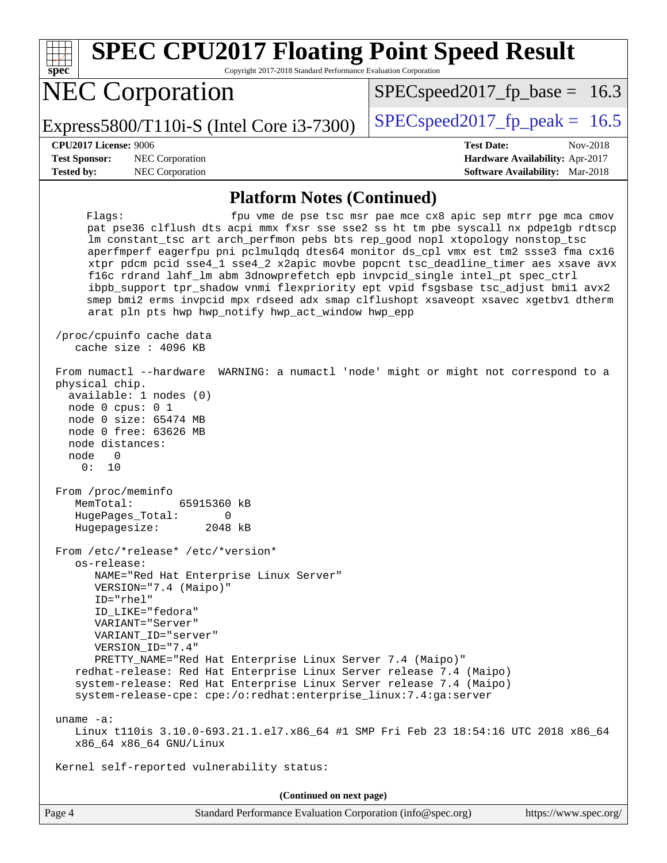| <b>SPEC CPU2017 Floating Point Speed Result</b><br>Copyright 2017-2018 Standard Performance Evaluation Corporation<br>$spec^*$                                                                                                                                                                                                                                                                                                                                                                                                                                                                                                                                                                                                                                                                                                                                                                                                                                                                                                                                                                                                                                                                                                                                                                                                                                                                                                                            |                                                                                                     |
|-----------------------------------------------------------------------------------------------------------------------------------------------------------------------------------------------------------------------------------------------------------------------------------------------------------------------------------------------------------------------------------------------------------------------------------------------------------------------------------------------------------------------------------------------------------------------------------------------------------------------------------------------------------------------------------------------------------------------------------------------------------------------------------------------------------------------------------------------------------------------------------------------------------------------------------------------------------------------------------------------------------------------------------------------------------------------------------------------------------------------------------------------------------------------------------------------------------------------------------------------------------------------------------------------------------------------------------------------------------------------------------------------------------------------------------------------------------|-----------------------------------------------------------------------------------------------------|
| <b>NEC Corporation</b>                                                                                                                                                                                                                                                                                                                                                                                                                                                                                                                                                                                                                                                                                                                                                                                                                                                                                                                                                                                                                                                                                                                                                                                                                                                                                                                                                                                                                                    | $SPEC speed2017_f p\_base = 16.3$                                                                   |
| Express5800/T110i-S (Intel Core i3-7300)                                                                                                                                                                                                                                                                                                                                                                                                                                                                                                                                                                                                                                                                                                                                                                                                                                                                                                                                                                                                                                                                                                                                                                                                                                                                                                                                                                                                                  | $SPEC speed2017_fp\_peak = 16.5$                                                                    |
| <b>CPU2017 License: 9006</b><br><b>Test Sponsor:</b><br>NEC Corporation<br><b>Tested by:</b><br>NEC Corporation                                                                                                                                                                                                                                                                                                                                                                                                                                                                                                                                                                                                                                                                                                                                                                                                                                                                                                                                                                                                                                                                                                                                                                                                                                                                                                                                           | <b>Test Date:</b><br>Nov-2018<br>Hardware Availability: Apr-2017<br>Software Availability: Mar-2018 |
| <b>Platform Notes (Continued)</b>                                                                                                                                                                                                                                                                                                                                                                                                                                                                                                                                                                                                                                                                                                                                                                                                                                                                                                                                                                                                                                                                                                                                                                                                                                                                                                                                                                                                                         |                                                                                                     |
| Flags:<br>pat pse36 clflush dts acpi mmx fxsr sse sse2 ss ht tm pbe syscall nx pdpelgb rdtscp<br>lm constant_tsc art arch_perfmon pebs bts rep_good nopl xtopology nonstop_tsc<br>aperfmperf eagerfpu pni pclmulqdq dtes64 monitor ds_cpl vmx est tm2 ssse3 fma cx16<br>xtpr pdcm pcid sse4_1 sse4_2 x2apic movbe popcnt tsc_deadline_timer aes xsave avx<br>f16c rdrand lahf_lm abm 3dnowprefetch epb invpcid_single intel_pt spec_ctrl<br>ibpb_support tpr_shadow vnmi flexpriority ept vpid fsgsbase tsc_adjust bmil avx2<br>smep bmi2 erms invpcid mpx rdseed adx smap clflushopt xsaveopt xsavec xgetbv1 dtherm<br>arat pln pts hwp hwp_notify hwp_act_window hwp_epp<br>/proc/cpuinfo cache data<br>cache size : 4096 KB<br>From numactl --hardware WARNING: a numactl 'node' might or might not correspond to a<br>physical chip.<br>available: 1 nodes (0)<br>node 0 cpus: 0 1<br>node 0 size: 65474 MB<br>node 0 free: 63626 MB<br>node distances:<br>node<br>0<br>0:<br>10<br>From /proc/meminfo<br>MemTotal:<br>65915360 kB<br>HugePages_Total:<br>0<br>2048 kB<br>Hugepagesize:<br>From /etc/*release* /etc/*version*<br>os-release:<br>NAME="Red Hat Enterprise Linux Server"<br>VERSION="7.4 (Maipo)"<br>$ID="rhe1"$<br>ID_LIKE="fedora"<br>VARIANT="Server"<br>VARIANT ID="server"<br>VERSION_ID="7.4"<br>PRETTY_NAME="Red Hat Enterprise Linux Server 7.4 (Maipo)"<br>redhat-release: Red Hat Enterprise Linux Server release 7.4 (Maipo) | fpu vme de pse tsc msr pae mce cx8 apic sep mtrr pge mca cmov                                       |
| system-release: Red Hat Enterprise Linux Server release 7.4 (Maipo)<br>system-release-cpe: cpe:/o:redhat:enterprise_linux:7.4:ga:server                                                                                                                                                                                                                                                                                                                                                                                                                                                                                                                                                                                                                                                                                                                                                                                                                                                                                                                                                                                                                                                                                                                                                                                                                                                                                                                   |                                                                                                     |
| uname $-a$ :<br>Linux t110is 3.10.0-693.21.1.el7.x86_64 #1 SMP Fri Feb 23 18:54:16 UTC 2018 x86_64<br>x86_64 x86_64 GNU/Linux                                                                                                                                                                                                                                                                                                                                                                                                                                                                                                                                                                                                                                                                                                                                                                                                                                                                                                                                                                                                                                                                                                                                                                                                                                                                                                                             |                                                                                                     |
| Kernel self-reported vulnerability status:                                                                                                                                                                                                                                                                                                                                                                                                                                                                                                                                                                                                                                                                                                                                                                                                                                                                                                                                                                                                                                                                                                                                                                                                                                                                                                                                                                                                                |                                                                                                     |
| (Continued on next page)                                                                                                                                                                                                                                                                                                                                                                                                                                                                                                                                                                                                                                                                                                                                                                                                                                                                                                                                                                                                                                                                                                                                                                                                                                                                                                                                                                                                                                  |                                                                                                     |
| Page 4<br>Standard Performance Evaluation Corporation (info@spec.org)                                                                                                                                                                                                                                                                                                                                                                                                                                                                                                                                                                                                                                                                                                                                                                                                                                                                                                                                                                                                                                                                                                                                                                                                                                                                                                                                                                                     | https://www.spec.org/                                                                               |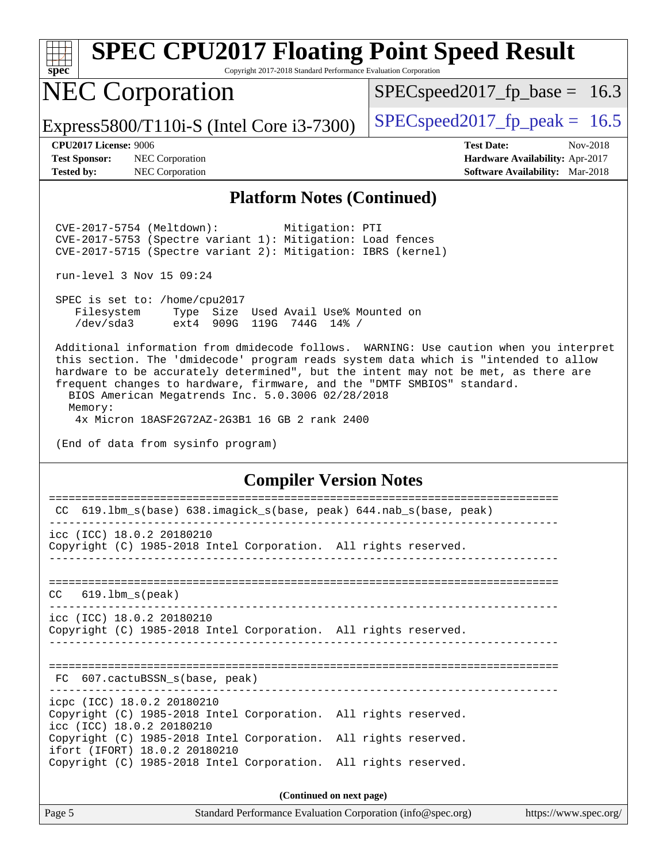

Copyright 2017-2018 Standard Performance Evaluation Corporation

### NEC Corporation

 $SPECspeed2017_fp\_base = 16.3$ 

Express5800/T110i-S (Intel Core i3-7300)  $\vert$  [SPECspeed2017\\_fp\\_peak =](http://www.spec.org/auto/cpu2017/Docs/result-fields.html#SPECspeed2017fppeak) 16.5

**[Test Sponsor:](http://www.spec.org/auto/cpu2017/Docs/result-fields.html#TestSponsor)** NEC Corporation **[Hardware Availability:](http://www.spec.org/auto/cpu2017/Docs/result-fields.html#HardwareAvailability)** Apr-2017 **[Tested by:](http://www.spec.org/auto/cpu2017/Docs/result-fields.html#Testedby)** NEC Corporation **[Software Availability:](http://www.spec.org/auto/cpu2017/Docs/result-fields.html#SoftwareAvailability)** Mar-2018

**[CPU2017 License:](http://www.spec.org/auto/cpu2017/Docs/result-fields.html#CPU2017License)** 9006 **[Test Date:](http://www.spec.org/auto/cpu2017/Docs/result-fields.html#TestDate)** Nov-2018

### **[Platform Notes \(Continued\)](http://www.spec.org/auto/cpu2017/Docs/result-fields.html#PlatformNotes)**

 CVE-2017-5754 (Meltdown): Mitigation: PTI CVE-2017-5753 (Spectre variant 1): Mitigation: Load fences CVE-2017-5715 (Spectre variant 2): Mitigation: IBRS (kernel)

run-level 3 Nov 15 09:24

 SPEC is set to: /home/cpu2017 Filesystem Type Size Used Avail Use% Mounted on /dev/sda3 ext4 909G 119G 744G 14% /

 Additional information from dmidecode follows. WARNING: Use caution when you interpret this section. The 'dmidecode' program reads system data which is "intended to allow hardware to be accurately determined", but the intent may not be met, as there are frequent changes to hardware, firmware, and the "DMTF SMBIOS" standard.

 BIOS American Megatrends Inc. 5.0.3006 02/28/2018 Memory:

4x Micron 18ASF2G72AZ-2G3B1 16 GB 2 rank 2400

(End of data from sysinfo program)

### **[Compiler Version Notes](http://www.spec.org/auto/cpu2017/Docs/result-fields.html#CompilerVersionNotes)**

| 619.1bm_s(base) 638.imagick_s(base, peak) 644.nab_s(base, peak)<br>CC                                                      |  |  |  |  |  |
|----------------------------------------------------------------------------------------------------------------------------|--|--|--|--|--|
|                                                                                                                            |  |  |  |  |  |
| icc (ICC) 18.0.2 20180210<br>Copyright (C) 1985-2018 Intel Corporation. All rights reserved.                               |  |  |  |  |  |
|                                                                                                                            |  |  |  |  |  |
| $CC$ 619.1bm $s$ (peak)                                                                                                    |  |  |  |  |  |
| icc (ICC) 18.0.2 20180210<br>Copyright (C) 1985-2018 Intel Corporation. All rights reserved.                               |  |  |  |  |  |
| FC 607.cactuBSSN s(base, peak)                                                                                             |  |  |  |  |  |
| icpc (ICC) 18.0.2 20180210<br>Copyright (C) 1985-2018 Intel Corporation. All rights reserved.<br>icc (ICC) 18.0.2 20180210 |  |  |  |  |  |
| Copyright (C) 1985-2018 Intel Corporation. All rights reserved.<br>ifort (IFORT) 18.0.2 20180210                           |  |  |  |  |  |
| Copyright (C) 1985-2018 Intel Corporation. All rights reserved.                                                            |  |  |  |  |  |
| (Continued on next page)                                                                                                   |  |  |  |  |  |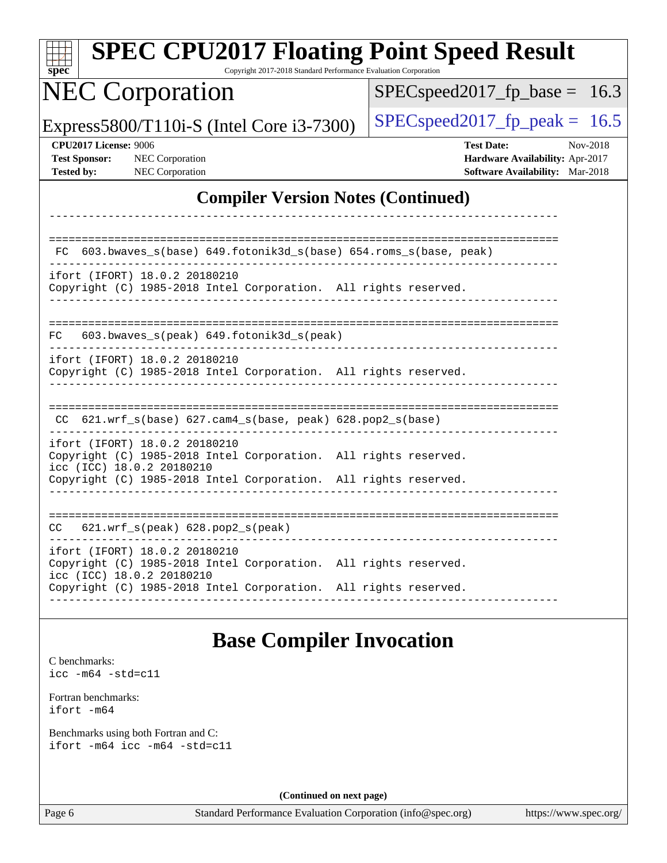| <b>SPEC CPU2017 Floating Point Speed Result</b><br>Copyright 2017-2018 Standard Performance Evaluation Corporation<br>$spec^*$                                                                   |                                                                                                            |
|--------------------------------------------------------------------------------------------------------------------------------------------------------------------------------------------------|------------------------------------------------------------------------------------------------------------|
| <b>NEC Corporation</b>                                                                                                                                                                           | $SPEC speed2017_fp\_base =$<br>16.3                                                                        |
| Express5800/T110i-S (Intel Core i3-7300)                                                                                                                                                         | $SPEC speed2017_fp\_peak = 16.5$                                                                           |
| <b>CPU2017 License: 9006</b><br><b>Test Sponsor:</b><br>NEC Corporation<br>NEC Corporation<br><b>Tested by:</b>                                                                                  | <b>Test Date:</b><br>Nov-2018<br><b>Hardware Availability: Apr-2017</b><br>Software Availability: Mar-2018 |
| <b>Compiler Version Notes (Continued)</b>                                                                                                                                                        |                                                                                                            |
| FC 603.bwaves_s(base) 649.fotonik3d_s(base) 654.roms_s(base, peak)                                                                                                                               |                                                                                                            |
| ifort (IFORT) 18.0.2 20180210<br>Copyright (C) 1985-2018 Intel Corporation. All rights reserved.                                                                                                 |                                                                                                            |
| 603.bwaves_s(peak) 649.fotonik3d_s(peak)<br>FC.                                                                                                                                                  |                                                                                                            |
| ifort (IFORT) 18.0.2 20180210<br>Copyright (C) 1985-2018 Intel Corporation. All rights reserved.                                                                                                 |                                                                                                            |
| CC 621.wrf_s(base) 627.cam4_s(base, peak) 628.pop2_s(base)                                                                                                                                       |                                                                                                            |
| ifort (IFORT) 18.0.2 20180210<br>Copyright (C) 1985-2018 Intel Corporation. All rights reserved.<br>icc (ICC) 18.0.2 20180210<br>Copyright (C) 1985-2018 Intel Corporation. All rights reserved. |                                                                                                            |
| 621.wrf_s(peak) 628.pop2_s(peak)                                                                                                                                                                 |                                                                                                            |
| ifort (IFORT) 18.0.2 20180210<br>Copyright (C) 1985-2018 Intel Corporation. All rights reserved.<br>icc (ICC) 18.0.2 20180210                                                                    |                                                                                                            |
| Copyright (C) 1985-2018 Intel Corporation. All rights reserved.                                                                                                                                  |                                                                                                            |
| <b>Base Compiler Invocation</b>                                                                                                                                                                  |                                                                                                            |
| C benchmarks:<br>$\text{icc -m64 -std=c11}$                                                                                                                                                      |                                                                                                            |
| Fortran benchmarks:<br>ifort -m64                                                                                                                                                                |                                                                                                            |
| Benchmarks using both Fortran and C:<br>ifort -m64 icc -m64 -std=c11                                                                                                                             |                                                                                                            |

**(Continued on next page)**

Page 6 Standard Performance Evaluation Corporation [\(info@spec.org\)](mailto:info@spec.org) <https://www.spec.org/>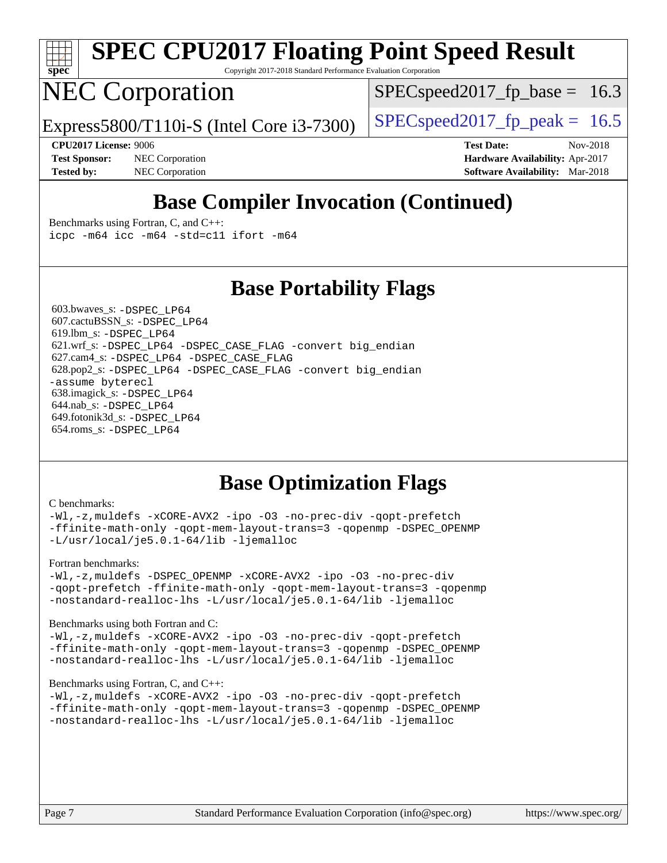

Copyright 2017-2018 Standard Performance Evaluation Corporation

### NEC Corporation

 $SPECspeed2017<sub>fp</sub> base = 16.3$ 

Express5800/T110i-S (Intel Core i3-7300)  $\left|$  [SPECspeed2017\\_fp\\_peak =](http://www.spec.org/auto/cpu2017/Docs/result-fields.html#SPECspeed2017fppeak) 16.5

**[Test Sponsor:](http://www.spec.org/auto/cpu2017/Docs/result-fields.html#TestSponsor)** NEC Corporation **[Hardware Availability:](http://www.spec.org/auto/cpu2017/Docs/result-fields.html#HardwareAvailability)** Apr-2017 **[Tested by:](http://www.spec.org/auto/cpu2017/Docs/result-fields.html#Testedby)** NEC Corporation **[Software Availability:](http://www.spec.org/auto/cpu2017/Docs/result-fields.html#SoftwareAvailability)** Mar-2018

**[CPU2017 License:](http://www.spec.org/auto/cpu2017/Docs/result-fields.html#CPU2017License)** 9006 **[Test Date:](http://www.spec.org/auto/cpu2017/Docs/result-fields.html#TestDate)** Nov-2018

### **[Base Compiler Invocation \(Continued\)](http://www.spec.org/auto/cpu2017/Docs/result-fields.html#BaseCompilerInvocation)**

[Benchmarks using Fortran, C, and C++:](http://www.spec.org/auto/cpu2017/Docs/result-fields.html#BenchmarksusingFortranCandCXX) [icpc -m64](http://www.spec.org/cpu2017/results/res2018q4/cpu2017-20181126-09853.flags.html#user_CC_CXX_FCbase_intel_icpc_64bit_4ecb2543ae3f1412ef961e0650ca070fec7b7afdcd6ed48761b84423119d1bf6bdf5cad15b44d48e7256388bc77273b966e5eb805aefd121eb22e9299b2ec9d9) [icc -m64 -std=c11](http://www.spec.org/cpu2017/results/res2018q4/cpu2017-20181126-09853.flags.html#user_CC_CXX_FCbase_intel_icc_64bit_c11_33ee0cdaae7deeeab2a9725423ba97205ce30f63b9926c2519791662299b76a0318f32ddfffdc46587804de3178b4f9328c46fa7c2b0cd779d7a61945c91cd35) [ifort -m64](http://www.spec.org/cpu2017/results/res2018q4/cpu2017-20181126-09853.flags.html#user_CC_CXX_FCbase_intel_ifort_64bit_24f2bb282fbaeffd6157abe4f878425411749daecae9a33200eee2bee2fe76f3b89351d69a8130dd5949958ce389cf37ff59a95e7a40d588e8d3a57e0c3fd751)

### **[Base Portability Flags](http://www.spec.org/auto/cpu2017/Docs/result-fields.html#BasePortabilityFlags)**

 603.bwaves\_s: [-DSPEC\\_LP64](http://www.spec.org/cpu2017/results/res2018q4/cpu2017-20181126-09853.flags.html#suite_basePORTABILITY603_bwaves_s_DSPEC_LP64) 607.cactuBSSN\_s: [-DSPEC\\_LP64](http://www.spec.org/cpu2017/results/res2018q4/cpu2017-20181126-09853.flags.html#suite_basePORTABILITY607_cactuBSSN_s_DSPEC_LP64) 619.lbm\_s: [-DSPEC\\_LP64](http://www.spec.org/cpu2017/results/res2018q4/cpu2017-20181126-09853.flags.html#suite_basePORTABILITY619_lbm_s_DSPEC_LP64) 621.wrf\_s: [-DSPEC\\_LP64](http://www.spec.org/cpu2017/results/res2018q4/cpu2017-20181126-09853.flags.html#suite_basePORTABILITY621_wrf_s_DSPEC_LP64) [-DSPEC\\_CASE\\_FLAG](http://www.spec.org/cpu2017/results/res2018q4/cpu2017-20181126-09853.flags.html#b621.wrf_s_baseCPORTABILITY_DSPEC_CASE_FLAG) [-convert big\\_endian](http://www.spec.org/cpu2017/results/res2018q4/cpu2017-20181126-09853.flags.html#user_baseFPORTABILITY621_wrf_s_convert_big_endian_c3194028bc08c63ac5d04de18c48ce6d347e4e562e8892b8bdbdc0214820426deb8554edfa529a3fb25a586e65a3d812c835984020483e7e73212c4d31a38223) 627.cam4\_s: [-DSPEC\\_LP64](http://www.spec.org/cpu2017/results/res2018q4/cpu2017-20181126-09853.flags.html#suite_basePORTABILITY627_cam4_s_DSPEC_LP64) [-DSPEC\\_CASE\\_FLAG](http://www.spec.org/cpu2017/results/res2018q4/cpu2017-20181126-09853.flags.html#b627.cam4_s_baseCPORTABILITY_DSPEC_CASE_FLAG) 628.pop2\_s: [-DSPEC\\_LP64](http://www.spec.org/cpu2017/results/res2018q4/cpu2017-20181126-09853.flags.html#suite_basePORTABILITY628_pop2_s_DSPEC_LP64) [-DSPEC\\_CASE\\_FLAG](http://www.spec.org/cpu2017/results/res2018q4/cpu2017-20181126-09853.flags.html#b628.pop2_s_baseCPORTABILITY_DSPEC_CASE_FLAG) [-convert big\\_endian](http://www.spec.org/cpu2017/results/res2018q4/cpu2017-20181126-09853.flags.html#user_baseFPORTABILITY628_pop2_s_convert_big_endian_c3194028bc08c63ac5d04de18c48ce6d347e4e562e8892b8bdbdc0214820426deb8554edfa529a3fb25a586e65a3d812c835984020483e7e73212c4d31a38223) [-assume byterecl](http://www.spec.org/cpu2017/results/res2018q4/cpu2017-20181126-09853.flags.html#user_baseFPORTABILITY628_pop2_s_assume_byterecl_7e47d18b9513cf18525430bbf0f2177aa9bf368bc7a059c09b2c06a34b53bd3447c950d3f8d6c70e3faf3a05c8557d66a5798b567902e8849adc142926523472) 638.imagick\_s: [-DSPEC\\_LP64](http://www.spec.org/cpu2017/results/res2018q4/cpu2017-20181126-09853.flags.html#suite_basePORTABILITY638_imagick_s_DSPEC_LP64) 644.nab\_s: [-DSPEC\\_LP64](http://www.spec.org/cpu2017/results/res2018q4/cpu2017-20181126-09853.flags.html#suite_basePORTABILITY644_nab_s_DSPEC_LP64) 649.fotonik3d\_s: [-DSPEC\\_LP64](http://www.spec.org/cpu2017/results/res2018q4/cpu2017-20181126-09853.flags.html#suite_basePORTABILITY649_fotonik3d_s_DSPEC_LP64) 654.roms\_s: [-DSPEC\\_LP64](http://www.spec.org/cpu2017/results/res2018q4/cpu2017-20181126-09853.flags.html#suite_basePORTABILITY654_roms_s_DSPEC_LP64)

### **[Base Optimization Flags](http://www.spec.org/auto/cpu2017/Docs/result-fields.html#BaseOptimizationFlags)**

#### [C benchmarks](http://www.spec.org/auto/cpu2017/Docs/result-fields.html#Cbenchmarks):

[-Wl,-z,muldefs](http://www.spec.org/cpu2017/results/res2018q4/cpu2017-20181126-09853.flags.html#user_CCbase_link_force_multiple1_b4cbdb97b34bdee9ceefcfe54f4c8ea74255f0b02a4b23e853cdb0e18eb4525ac79b5a88067c842dd0ee6996c24547a27a4b99331201badda8798ef8a743f577) [-xCORE-AVX2](http://www.spec.org/cpu2017/results/res2018q4/cpu2017-20181126-09853.flags.html#user_CCbase_f-xCORE-AVX2) [-ipo](http://www.spec.org/cpu2017/results/res2018q4/cpu2017-20181126-09853.flags.html#user_CCbase_f-ipo) [-O3](http://www.spec.org/cpu2017/results/res2018q4/cpu2017-20181126-09853.flags.html#user_CCbase_f-O3) [-no-prec-div](http://www.spec.org/cpu2017/results/res2018q4/cpu2017-20181126-09853.flags.html#user_CCbase_f-no-prec-div) [-qopt-prefetch](http://www.spec.org/cpu2017/results/res2018q4/cpu2017-20181126-09853.flags.html#user_CCbase_f-qopt-prefetch) [-ffinite-math-only](http://www.spec.org/cpu2017/results/res2018q4/cpu2017-20181126-09853.flags.html#user_CCbase_f_finite_math_only_cb91587bd2077682c4b38af759c288ed7c732db004271a9512da14a4f8007909a5f1427ecbf1a0fb78ff2a814402c6114ac565ca162485bbcae155b5e4258871) [-qopt-mem-layout-trans=3](http://www.spec.org/cpu2017/results/res2018q4/cpu2017-20181126-09853.flags.html#user_CCbase_f-qopt-mem-layout-trans_de80db37974c74b1f0e20d883f0b675c88c3b01e9d123adea9b28688d64333345fb62bc4a798493513fdb68f60282f9a726aa07f478b2f7113531aecce732043) [-qopenmp](http://www.spec.org/cpu2017/results/res2018q4/cpu2017-20181126-09853.flags.html#user_CCbase_qopenmp_16be0c44f24f464004c6784a7acb94aca937f053568ce72f94b139a11c7c168634a55f6653758ddd83bcf7b8463e8028bb0b48b77bcddc6b78d5d95bb1df2967) [-DSPEC\\_OPENMP](http://www.spec.org/cpu2017/results/res2018q4/cpu2017-20181126-09853.flags.html#suite_CCbase_DSPEC_OPENMP) [-L/usr/local/je5.0.1-64/lib](http://www.spec.org/cpu2017/results/res2018q4/cpu2017-20181126-09853.flags.html#user_CCbase_jemalloc_link_path64_4b10a636b7bce113509b17f3bd0d6226c5fb2346b9178c2d0232c14f04ab830f976640479e5c33dc2bcbbdad86ecfb6634cbbd4418746f06f368b512fced5394) [-ljemalloc](http://www.spec.org/cpu2017/results/res2018q4/cpu2017-20181126-09853.flags.html#user_CCbase_jemalloc_link_lib_d1249b907c500fa1c0672f44f562e3d0f79738ae9e3c4a9c376d49f265a04b9c99b167ecedbf6711b3085be911c67ff61f150a17b3472be731631ba4d0471706)

#### [Fortran benchmarks](http://www.spec.org/auto/cpu2017/Docs/result-fields.html#Fortranbenchmarks):

[-Wl,-z,muldefs](http://www.spec.org/cpu2017/results/res2018q4/cpu2017-20181126-09853.flags.html#user_FCbase_link_force_multiple1_b4cbdb97b34bdee9ceefcfe54f4c8ea74255f0b02a4b23e853cdb0e18eb4525ac79b5a88067c842dd0ee6996c24547a27a4b99331201badda8798ef8a743f577) [-DSPEC\\_OPENMP](http://www.spec.org/cpu2017/results/res2018q4/cpu2017-20181126-09853.flags.html#suite_FCbase_DSPEC_OPENMP) [-xCORE-AVX2](http://www.spec.org/cpu2017/results/res2018q4/cpu2017-20181126-09853.flags.html#user_FCbase_f-xCORE-AVX2) [-ipo](http://www.spec.org/cpu2017/results/res2018q4/cpu2017-20181126-09853.flags.html#user_FCbase_f-ipo) [-O3](http://www.spec.org/cpu2017/results/res2018q4/cpu2017-20181126-09853.flags.html#user_FCbase_f-O3) [-no-prec-div](http://www.spec.org/cpu2017/results/res2018q4/cpu2017-20181126-09853.flags.html#user_FCbase_f-no-prec-div) [-qopt-prefetch](http://www.spec.org/cpu2017/results/res2018q4/cpu2017-20181126-09853.flags.html#user_FCbase_f-qopt-prefetch) [-ffinite-math-only](http://www.spec.org/cpu2017/results/res2018q4/cpu2017-20181126-09853.flags.html#user_FCbase_f_finite_math_only_cb91587bd2077682c4b38af759c288ed7c732db004271a9512da14a4f8007909a5f1427ecbf1a0fb78ff2a814402c6114ac565ca162485bbcae155b5e4258871) [-qopt-mem-layout-trans=3](http://www.spec.org/cpu2017/results/res2018q4/cpu2017-20181126-09853.flags.html#user_FCbase_f-qopt-mem-layout-trans_de80db37974c74b1f0e20d883f0b675c88c3b01e9d123adea9b28688d64333345fb62bc4a798493513fdb68f60282f9a726aa07f478b2f7113531aecce732043) [-qopenmp](http://www.spec.org/cpu2017/results/res2018q4/cpu2017-20181126-09853.flags.html#user_FCbase_qopenmp_16be0c44f24f464004c6784a7acb94aca937f053568ce72f94b139a11c7c168634a55f6653758ddd83bcf7b8463e8028bb0b48b77bcddc6b78d5d95bb1df2967) [-nostandard-realloc-lhs](http://www.spec.org/cpu2017/results/res2018q4/cpu2017-20181126-09853.flags.html#user_FCbase_f_2003_std_realloc_82b4557e90729c0f113870c07e44d33d6f5a304b4f63d4c15d2d0f1fab99f5daaed73bdb9275d9ae411527f28b936061aa8b9c8f2d63842963b95c9dd6426b8a) [-L/usr/local/je5.0.1-64/lib](http://www.spec.org/cpu2017/results/res2018q4/cpu2017-20181126-09853.flags.html#user_FCbase_jemalloc_link_path64_4b10a636b7bce113509b17f3bd0d6226c5fb2346b9178c2d0232c14f04ab830f976640479e5c33dc2bcbbdad86ecfb6634cbbd4418746f06f368b512fced5394) [-ljemalloc](http://www.spec.org/cpu2017/results/res2018q4/cpu2017-20181126-09853.flags.html#user_FCbase_jemalloc_link_lib_d1249b907c500fa1c0672f44f562e3d0f79738ae9e3c4a9c376d49f265a04b9c99b167ecedbf6711b3085be911c67ff61f150a17b3472be731631ba4d0471706)

#### [Benchmarks using both Fortran and C](http://www.spec.org/auto/cpu2017/Docs/result-fields.html#BenchmarksusingbothFortranandC):

[-Wl,-z,muldefs](http://www.spec.org/cpu2017/results/res2018q4/cpu2017-20181126-09853.flags.html#user_CC_FCbase_link_force_multiple1_b4cbdb97b34bdee9ceefcfe54f4c8ea74255f0b02a4b23e853cdb0e18eb4525ac79b5a88067c842dd0ee6996c24547a27a4b99331201badda8798ef8a743f577) [-xCORE-AVX2](http://www.spec.org/cpu2017/results/res2018q4/cpu2017-20181126-09853.flags.html#user_CC_FCbase_f-xCORE-AVX2) [-ipo](http://www.spec.org/cpu2017/results/res2018q4/cpu2017-20181126-09853.flags.html#user_CC_FCbase_f-ipo) [-O3](http://www.spec.org/cpu2017/results/res2018q4/cpu2017-20181126-09853.flags.html#user_CC_FCbase_f-O3) [-no-prec-div](http://www.spec.org/cpu2017/results/res2018q4/cpu2017-20181126-09853.flags.html#user_CC_FCbase_f-no-prec-div) [-qopt-prefetch](http://www.spec.org/cpu2017/results/res2018q4/cpu2017-20181126-09853.flags.html#user_CC_FCbase_f-qopt-prefetch) [-ffinite-math-only](http://www.spec.org/cpu2017/results/res2018q4/cpu2017-20181126-09853.flags.html#user_CC_FCbase_f_finite_math_only_cb91587bd2077682c4b38af759c288ed7c732db004271a9512da14a4f8007909a5f1427ecbf1a0fb78ff2a814402c6114ac565ca162485bbcae155b5e4258871) [-qopt-mem-layout-trans=3](http://www.spec.org/cpu2017/results/res2018q4/cpu2017-20181126-09853.flags.html#user_CC_FCbase_f-qopt-mem-layout-trans_de80db37974c74b1f0e20d883f0b675c88c3b01e9d123adea9b28688d64333345fb62bc4a798493513fdb68f60282f9a726aa07f478b2f7113531aecce732043) [-qopenmp](http://www.spec.org/cpu2017/results/res2018q4/cpu2017-20181126-09853.flags.html#user_CC_FCbase_qopenmp_16be0c44f24f464004c6784a7acb94aca937f053568ce72f94b139a11c7c168634a55f6653758ddd83bcf7b8463e8028bb0b48b77bcddc6b78d5d95bb1df2967) [-DSPEC\\_OPENMP](http://www.spec.org/cpu2017/results/res2018q4/cpu2017-20181126-09853.flags.html#suite_CC_FCbase_DSPEC_OPENMP) [-nostandard-realloc-lhs](http://www.spec.org/cpu2017/results/res2018q4/cpu2017-20181126-09853.flags.html#user_CC_FCbase_f_2003_std_realloc_82b4557e90729c0f113870c07e44d33d6f5a304b4f63d4c15d2d0f1fab99f5daaed73bdb9275d9ae411527f28b936061aa8b9c8f2d63842963b95c9dd6426b8a) [-L/usr/local/je5.0.1-64/lib](http://www.spec.org/cpu2017/results/res2018q4/cpu2017-20181126-09853.flags.html#user_CC_FCbase_jemalloc_link_path64_4b10a636b7bce113509b17f3bd0d6226c5fb2346b9178c2d0232c14f04ab830f976640479e5c33dc2bcbbdad86ecfb6634cbbd4418746f06f368b512fced5394) [-ljemalloc](http://www.spec.org/cpu2017/results/res2018q4/cpu2017-20181126-09853.flags.html#user_CC_FCbase_jemalloc_link_lib_d1249b907c500fa1c0672f44f562e3d0f79738ae9e3c4a9c376d49f265a04b9c99b167ecedbf6711b3085be911c67ff61f150a17b3472be731631ba4d0471706)

#### [Benchmarks using Fortran, C, and C++:](http://www.spec.org/auto/cpu2017/Docs/result-fields.html#BenchmarksusingFortranCandCXX)

[-Wl,-z,muldefs](http://www.spec.org/cpu2017/results/res2018q4/cpu2017-20181126-09853.flags.html#user_CC_CXX_FCbase_link_force_multiple1_b4cbdb97b34bdee9ceefcfe54f4c8ea74255f0b02a4b23e853cdb0e18eb4525ac79b5a88067c842dd0ee6996c24547a27a4b99331201badda8798ef8a743f577) [-xCORE-AVX2](http://www.spec.org/cpu2017/results/res2018q4/cpu2017-20181126-09853.flags.html#user_CC_CXX_FCbase_f-xCORE-AVX2) [-ipo](http://www.spec.org/cpu2017/results/res2018q4/cpu2017-20181126-09853.flags.html#user_CC_CXX_FCbase_f-ipo) [-O3](http://www.spec.org/cpu2017/results/res2018q4/cpu2017-20181126-09853.flags.html#user_CC_CXX_FCbase_f-O3) [-no-prec-div](http://www.spec.org/cpu2017/results/res2018q4/cpu2017-20181126-09853.flags.html#user_CC_CXX_FCbase_f-no-prec-div) [-qopt-prefetch](http://www.spec.org/cpu2017/results/res2018q4/cpu2017-20181126-09853.flags.html#user_CC_CXX_FCbase_f-qopt-prefetch) [-ffinite-math-only](http://www.spec.org/cpu2017/results/res2018q4/cpu2017-20181126-09853.flags.html#user_CC_CXX_FCbase_f_finite_math_only_cb91587bd2077682c4b38af759c288ed7c732db004271a9512da14a4f8007909a5f1427ecbf1a0fb78ff2a814402c6114ac565ca162485bbcae155b5e4258871) [-qopt-mem-layout-trans=3](http://www.spec.org/cpu2017/results/res2018q4/cpu2017-20181126-09853.flags.html#user_CC_CXX_FCbase_f-qopt-mem-layout-trans_de80db37974c74b1f0e20d883f0b675c88c3b01e9d123adea9b28688d64333345fb62bc4a798493513fdb68f60282f9a726aa07f478b2f7113531aecce732043) [-qopenmp](http://www.spec.org/cpu2017/results/res2018q4/cpu2017-20181126-09853.flags.html#user_CC_CXX_FCbase_qopenmp_16be0c44f24f464004c6784a7acb94aca937f053568ce72f94b139a11c7c168634a55f6653758ddd83bcf7b8463e8028bb0b48b77bcddc6b78d5d95bb1df2967) [-DSPEC\\_OPENMP](http://www.spec.org/cpu2017/results/res2018q4/cpu2017-20181126-09853.flags.html#suite_CC_CXX_FCbase_DSPEC_OPENMP) [-nostandard-realloc-lhs](http://www.spec.org/cpu2017/results/res2018q4/cpu2017-20181126-09853.flags.html#user_CC_CXX_FCbase_f_2003_std_realloc_82b4557e90729c0f113870c07e44d33d6f5a304b4f63d4c15d2d0f1fab99f5daaed73bdb9275d9ae411527f28b936061aa8b9c8f2d63842963b95c9dd6426b8a) [-L/usr/local/je5.0.1-64/lib](http://www.spec.org/cpu2017/results/res2018q4/cpu2017-20181126-09853.flags.html#user_CC_CXX_FCbase_jemalloc_link_path64_4b10a636b7bce113509b17f3bd0d6226c5fb2346b9178c2d0232c14f04ab830f976640479e5c33dc2bcbbdad86ecfb6634cbbd4418746f06f368b512fced5394) [-ljemalloc](http://www.spec.org/cpu2017/results/res2018q4/cpu2017-20181126-09853.flags.html#user_CC_CXX_FCbase_jemalloc_link_lib_d1249b907c500fa1c0672f44f562e3d0f79738ae9e3c4a9c376d49f265a04b9c99b167ecedbf6711b3085be911c67ff61f150a17b3472be731631ba4d0471706)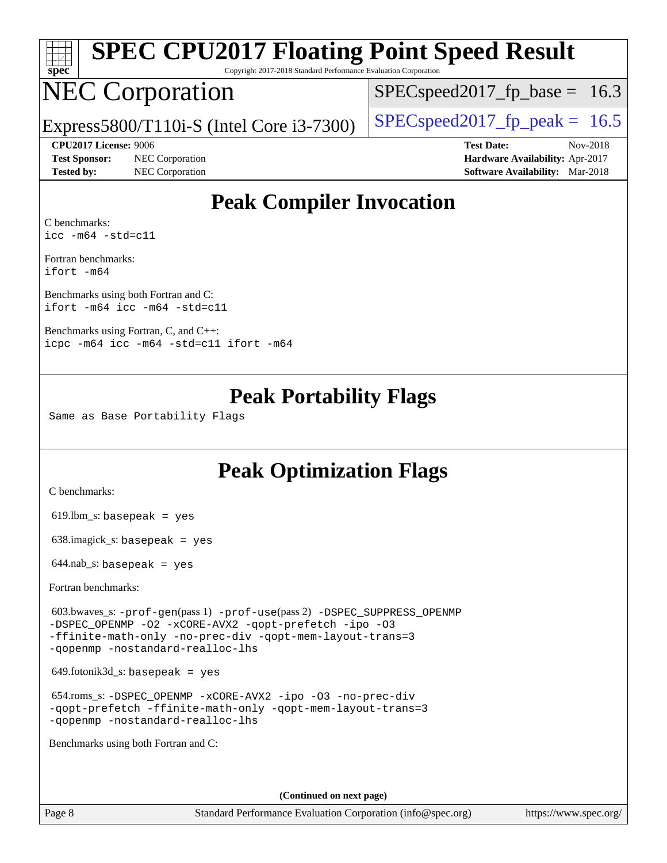

Copyright 2017-2018 Standard Performance Evaluation Corporation

## NEC Corporation

 $SPECspeed2017<sub>fp</sub> base = 16.3$ 

Express5800/T110i-S (Intel Core i3-7300)  $\left|$  [SPECspeed2017\\_fp\\_peak =](http://www.spec.org/auto/cpu2017/Docs/result-fields.html#SPECspeed2017fppeak) 16.5

**[CPU2017 License:](http://www.spec.org/auto/cpu2017/Docs/result-fields.html#CPU2017License)** 9006 **[Test Date:](http://www.spec.org/auto/cpu2017/Docs/result-fields.html#TestDate)** Nov-2018 **[Test Sponsor:](http://www.spec.org/auto/cpu2017/Docs/result-fields.html#TestSponsor)** NEC Corporation **[Hardware Availability:](http://www.spec.org/auto/cpu2017/Docs/result-fields.html#HardwareAvailability)** Apr-2017 **[Tested by:](http://www.spec.org/auto/cpu2017/Docs/result-fields.html#Testedby)** NEC Corporation **[Software Availability:](http://www.spec.org/auto/cpu2017/Docs/result-fields.html#SoftwareAvailability)** Mar-2018

### **[Peak Compiler Invocation](http://www.spec.org/auto/cpu2017/Docs/result-fields.html#PeakCompilerInvocation)**

[C benchmarks](http://www.spec.org/auto/cpu2017/Docs/result-fields.html#Cbenchmarks): [icc -m64 -std=c11](http://www.spec.org/cpu2017/results/res2018q4/cpu2017-20181126-09853.flags.html#user_CCpeak_intel_icc_64bit_c11_33ee0cdaae7deeeab2a9725423ba97205ce30f63b9926c2519791662299b76a0318f32ddfffdc46587804de3178b4f9328c46fa7c2b0cd779d7a61945c91cd35)

[Fortran benchmarks](http://www.spec.org/auto/cpu2017/Docs/result-fields.html#Fortranbenchmarks): [ifort -m64](http://www.spec.org/cpu2017/results/res2018q4/cpu2017-20181126-09853.flags.html#user_FCpeak_intel_ifort_64bit_24f2bb282fbaeffd6157abe4f878425411749daecae9a33200eee2bee2fe76f3b89351d69a8130dd5949958ce389cf37ff59a95e7a40d588e8d3a57e0c3fd751)

[Benchmarks using both Fortran and C](http://www.spec.org/auto/cpu2017/Docs/result-fields.html#BenchmarksusingbothFortranandC): [ifort -m64](http://www.spec.org/cpu2017/results/res2018q4/cpu2017-20181126-09853.flags.html#user_CC_FCpeak_intel_ifort_64bit_24f2bb282fbaeffd6157abe4f878425411749daecae9a33200eee2bee2fe76f3b89351d69a8130dd5949958ce389cf37ff59a95e7a40d588e8d3a57e0c3fd751) [icc -m64 -std=c11](http://www.spec.org/cpu2017/results/res2018q4/cpu2017-20181126-09853.flags.html#user_CC_FCpeak_intel_icc_64bit_c11_33ee0cdaae7deeeab2a9725423ba97205ce30f63b9926c2519791662299b76a0318f32ddfffdc46587804de3178b4f9328c46fa7c2b0cd779d7a61945c91cd35)

[Benchmarks using Fortran, C, and C++:](http://www.spec.org/auto/cpu2017/Docs/result-fields.html#BenchmarksusingFortranCandCXX) [icpc -m64](http://www.spec.org/cpu2017/results/res2018q4/cpu2017-20181126-09853.flags.html#user_CC_CXX_FCpeak_intel_icpc_64bit_4ecb2543ae3f1412ef961e0650ca070fec7b7afdcd6ed48761b84423119d1bf6bdf5cad15b44d48e7256388bc77273b966e5eb805aefd121eb22e9299b2ec9d9) [icc -m64 -std=c11](http://www.spec.org/cpu2017/results/res2018q4/cpu2017-20181126-09853.flags.html#user_CC_CXX_FCpeak_intel_icc_64bit_c11_33ee0cdaae7deeeab2a9725423ba97205ce30f63b9926c2519791662299b76a0318f32ddfffdc46587804de3178b4f9328c46fa7c2b0cd779d7a61945c91cd35) [ifort -m64](http://www.spec.org/cpu2017/results/res2018q4/cpu2017-20181126-09853.flags.html#user_CC_CXX_FCpeak_intel_ifort_64bit_24f2bb282fbaeffd6157abe4f878425411749daecae9a33200eee2bee2fe76f3b89351d69a8130dd5949958ce389cf37ff59a95e7a40d588e8d3a57e0c3fd751)

### **[Peak Portability Flags](http://www.spec.org/auto/cpu2017/Docs/result-fields.html#PeakPortabilityFlags)**

Same as Base Portability Flags

### **[Peak Optimization Flags](http://www.spec.org/auto/cpu2017/Docs/result-fields.html#PeakOptimizationFlags)**

[C benchmarks](http://www.spec.org/auto/cpu2017/Docs/result-fields.html#Cbenchmarks):

619.lbm\_s: basepeak = yes

638.imagick\_s: basepeak = yes

 $644$ .nab\_s: basepeak = yes

[Fortran benchmarks](http://www.spec.org/auto/cpu2017/Docs/result-fields.html#Fortranbenchmarks):

 603.bwaves\_s: [-prof-gen](http://www.spec.org/cpu2017/results/res2018q4/cpu2017-20181126-09853.flags.html#user_peakPASS1_FFLAGSPASS1_LDFLAGS603_bwaves_s_prof_gen_5aa4926d6013ddb2a31985c654b3eb18169fc0c6952a63635c234f711e6e63dd76e94ad52365559451ec499a2cdb89e4dc58ba4c67ef54ca681ffbe1461d6b36)(pass 1) [-prof-use](http://www.spec.org/cpu2017/results/res2018q4/cpu2017-20181126-09853.flags.html#user_peakPASS2_FFLAGSPASS2_LDFLAGS603_bwaves_s_prof_use_1a21ceae95f36a2b53c25747139a6c16ca95bd9def2a207b4f0849963b97e94f5260e30a0c64f4bb623698870e679ca08317ef8150905d41bd88c6f78df73f19)(pass 2) [-DSPEC\\_SUPPRESS\\_OPENMP](http://www.spec.org/cpu2017/results/res2018q4/cpu2017-20181126-09853.flags.html#suite_peakPASS1_FOPTIMIZE603_bwaves_s_DSPEC_SUPPRESS_OPENMP) [-DSPEC\\_OPENMP](http://www.spec.org/cpu2017/results/res2018q4/cpu2017-20181126-09853.flags.html#suite_peakPASS2_FOPTIMIZE603_bwaves_s_DSPEC_OPENMP) [-O2](http://www.spec.org/cpu2017/results/res2018q4/cpu2017-20181126-09853.flags.html#user_peakPASS1_FOPTIMIZE603_bwaves_s_f-O2) [-xCORE-AVX2](http://www.spec.org/cpu2017/results/res2018q4/cpu2017-20181126-09853.flags.html#user_peakPASS2_FOPTIMIZE603_bwaves_s_f-xCORE-AVX2) [-qopt-prefetch](http://www.spec.org/cpu2017/results/res2018q4/cpu2017-20181126-09853.flags.html#user_peakPASS1_FOPTIMIZEPASS2_FOPTIMIZE603_bwaves_s_f-qopt-prefetch) [-ipo](http://www.spec.org/cpu2017/results/res2018q4/cpu2017-20181126-09853.flags.html#user_peakPASS2_FOPTIMIZE603_bwaves_s_f-ipo) [-O3](http://www.spec.org/cpu2017/results/res2018q4/cpu2017-20181126-09853.flags.html#user_peakPASS2_FOPTIMIZE603_bwaves_s_f-O3) [-ffinite-math-only](http://www.spec.org/cpu2017/results/res2018q4/cpu2017-20181126-09853.flags.html#user_peakPASS1_FOPTIMIZEPASS2_FOPTIMIZE603_bwaves_s_f_finite_math_only_cb91587bd2077682c4b38af759c288ed7c732db004271a9512da14a4f8007909a5f1427ecbf1a0fb78ff2a814402c6114ac565ca162485bbcae155b5e4258871) [-no-prec-div](http://www.spec.org/cpu2017/results/res2018q4/cpu2017-20181126-09853.flags.html#user_peakPASS2_FOPTIMIZE603_bwaves_s_f-no-prec-div) [-qopt-mem-layout-trans=3](http://www.spec.org/cpu2017/results/res2018q4/cpu2017-20181126-09853.flags.html#user_peakPASS1_FOPTIMIZEPASS2_FOPTIMIZE603_bwaves_s_f-qopt-mem-layout-trans_de80db37974c74b1f0e20d883f0b675c88c3b01e9d123adea9b28688d64333345fb62bc4a798493513fdb68f60282f9a726aa07f478b2f7113531aecce732043) [-qopenmp](http://www.spec.org/cpu2017/results/res2018q4/cpu2017-20181126-09853.flags.html#user_peakPASS2_FOPTIMIZE603_bwaves_s_qopenmp_16be0c44f24f464004c6784a7acb94aca937f053568ce72f94b139a11c7c168634a55f6653758ddd83bcf7b8463e8028bb0b48b77bcddc6b78d5d95bb1df2967) [-nostandard-realloc-lhs](http://www.spec.org/cpu2017/results/res2018q4/cpu2017-20181126-09853.flags.html#user_peakEXTRA_FOPTIMIZE603_bwaves_s_f_2003_std_realloc_82b4557e90729c0f113870c07e44d33d6f5a304b4f63d4c15d2d0f1fab99f5daaed73bdb9275d9ae411527f28b936061aa8b9c8f2d63842963b95c9dd6426b8a)

 $649.$ fotonik $3d$ <sub>-</sub>s: basepeak = yes

 654.roms\_s: [-DSPEC\\_OPENMP](http://www.spec.org/cpu2017/results/res2018q4/cpu2017-20181126-09853.flags.html#suite_peakFOPTIMIZE654_roms_s_DSPEC_OPENMP) [-xCORE-AVX2](http://www.spec.org/cpu2017/results/res2018q4/cpu2017-20181126-09853.flags.html#user_peakFOPTIMIZE654_roms_s_f-xCORE-AVX2) [-ipo](http://www.spec.org/cpu2017/results/res2018q4/cpu2017-20181126-09853.flags.html#user_peakFOPTIMIZE654_roms_s_f-ipo) [-O3](http://www.spec.org/cpu2017/results/res2018q4/cpu2017-20181126-09853.flags.html#user_peakFOPTIMIZE654_roms_s_f-O3) [-no-prec-div](http://www.spec.org/cpu2017/results/res2018q4/cpu2017-20181126-09853.flags.html#user_peakFOPTIMIZE654_roms_s_f-no-prec-div) [-qopt-prefetch](http://www.spec.org/cpu2017/results/res2018q4/cpu2017-20181126-09853.flags.html#user_peakFOPTIMIZE654_roms_s_f-qopt-prefetch) [-ffinite-math-only](http://www.spec.org/cpu2017/results/res2018q4/cpu2017-20181126-09853.flags.html#user_peakFOPTIMIZE654_roms_s_f_finite_math_only_cb91587bd2077682c4b38af759c288ed7c732db004271a9512da14a4f8007909a5f1427ecbf1a0fb78ff2a814402c6114ac565ca162485bbcae155b5e4258871) [-qopt-mem-layout-trans=3](http://www.spec.org/cpu2017/results/res2018q4/cpu2017-20181126-09853.flags.html#user_peakFOPTIMIZE654_roms_s_f-qopt-mem-layout-trans_de80db37974c74b1f0e20d883f0b675c88c3b01e9d123adea9b28688d64333345fb62bc4a798493513fdb68f60282f9a726aa07f478b2f7113531aecce732043) [-qopenmp](http://www.spec.org/cpu2017/results/res2018q4/cpu2017-20181126-09853.flags.html#user_peakFOPTIMIZE654_roms_s_qopenmp_16be0c44f24f464004c6784a7acb94aca937f053568ce72f94b139a11c7c168634a55f6653758ddd83bcf7b8463e8028bb0b48b77bcddc6b78d5d95bb1df2967) [-nostandard-realloc-lhs](http://www.spec.org/cpu2017/results/res2018q4/cpu2017-20181126-09853.flags.html#user_peakEXTRA_FOPTIMIZE654_roms_s_f_2003_std_realloc_82b4557e90729c0f113870c07e44d33d6f5a304b4f63d4c15d2d0f1fab99f5daaed73bdb9275d9ae411527f28b936061aa8b9c8f2d63842963b95c9dd6426b8a)

[Benchmarks using both Fortran and C](http://www.spec.org/auto/cpu2017/Docs/result-fields.html#BenchmarksusingbothFortranandC):

**(Continued on next page)**